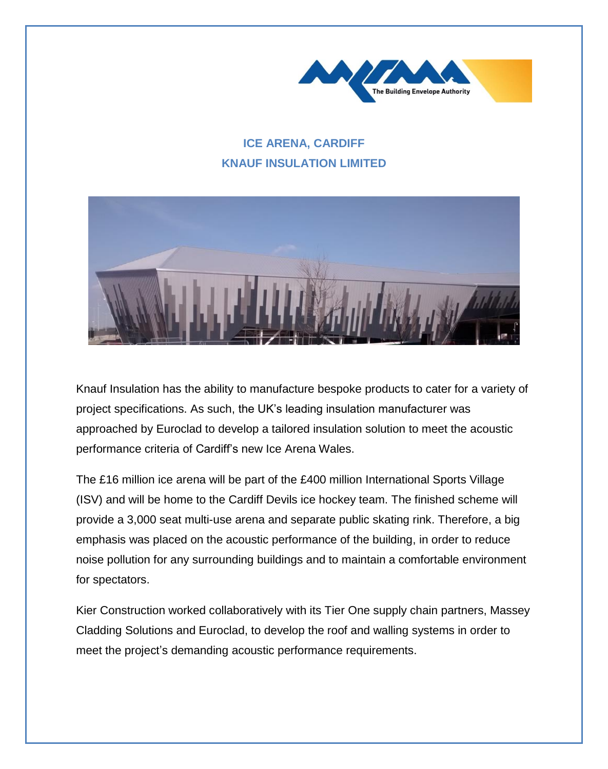

## **ICE ARENA, CARDIFF KNAUF INSULATION LIMITED**



Knauf Insulation has the ability to manufacture bespoke products to cater for a variety of project specifications. As such, the UK's leading insulation manufacturer was approached by Euroclad to develop a tailored insulation solution to meet the acoustic performance criteria of Cardiff's new Ice Arena Wales.

The £16 million ice arena will be part of the £400 million International Sports Village (ISV) and will be home to the Cardiff Devils ice hockey team. The finished scheme will provide a 3,000 seat multi-use arena and separate public skating rink. Therefore, a big emphasis was placed on the acoustic performance of the building, in order to reduce noise pollution for any surrounding buildings and to maintain a comfortable environment for spectators.

Kier Construction worked collaboratively with its Tier One supply chain partners, Massey Cladding Solutions and Euroclad, to develop the roof and walling systems in order to meet the project's demanding acoustic performance requirements.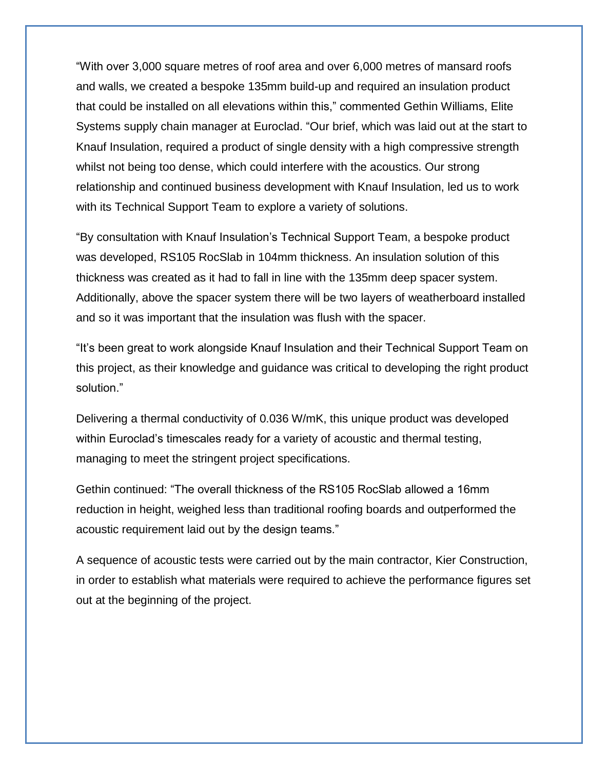"With over 3,000 square metres of roof area and over 6,000 metres of mansard roofs and walls, we created a bespoke 135mm build-up and required an insulation product that could be installed on all elevations within this," commented Gethin Williams, Elite Systems supply chain manager at Euroclad. "Our brief, which was laid out at the start to Knauf Insulation, required a product of single density with a high compressive strength whilst not being too dense, which could interfere with the acoustics. Our strong relationship and continued business development with Knauf Insulation, led us to work with its Technical Support Team to explore a variety of solutions.

"By consultation with Knauf Insulation's Technical Support Team, a bespoke product was developed, RS105 RocSlab in 104mm thickness. An insulation solution of this thickness was created as it had to fall in line with the 135mm deep spacer system. Additionally, above the spacer system there will be two layers of weatherboard installed and so it was important that the insulation was flush with the spacer.

"It's been great to work alongside Knauf Insulation and their Technical Support Team on this project, as their knowledge and guidance was critical to developing the right product solution."

Delivering a thermal conductivity of 0.036 W/mK, this unique product was developed within Euroclad's timescales ready for a variety of acoustic and thermal testing, managing to meet the stringent project specifications.

Gethin continued: "The overall thickness of the RS105 RocSlab allowed a 16mm reduction in height, weighed less than traditional roofing boards and outperformed the acoustic requirement laid out by the design teams."

A sequence of acoustic tests were carried out by the main contractor, Kier Construction, in order to establish what materials were required to achieve the performance figures set out at the beginning of the project.